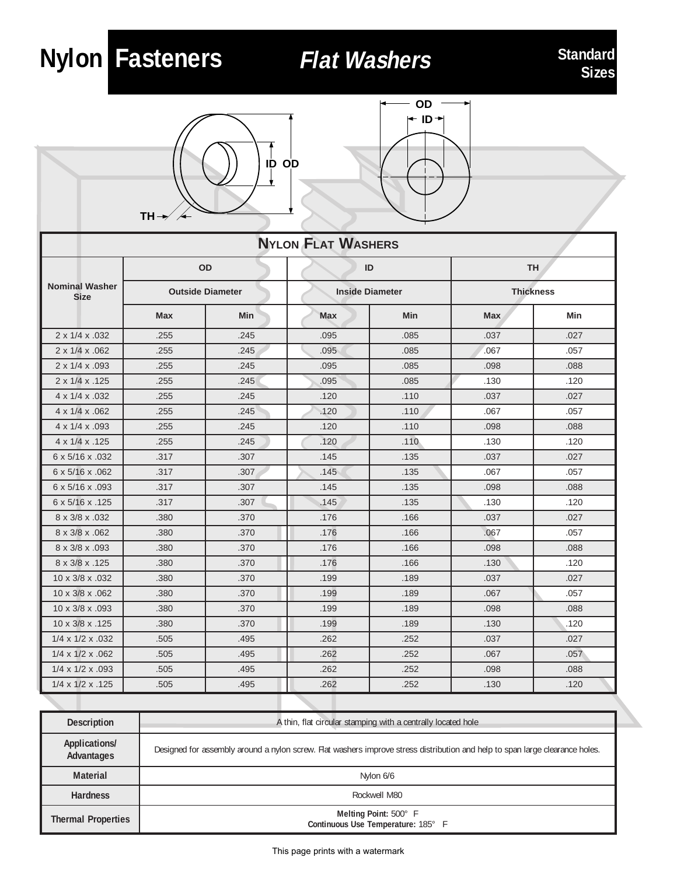## Flat Washers



Nylon Fasteners



| <b>NYLON FLAT WASHERS</b>            |                         |      |                        |      |                  |      |  |
|--------------------------------------|-------------------------|------|------------------------|------|------------------|------|--|
|                                      | OD                      |      | ID                     |      | <b>TH</b>        |      |  |
| <b>Nominal Washer</b><br><b>Size</b> | <b>Outside Diameter</b> |      | <b>Inside Diameter</b> |      | <b>Thickness</b> |      |  |
|                                      | Max                     | Min  | Max                    | Min  | Max              | Min  |  |
| 2 x 1/4 x .032                       | .255                    | .245 | .095                   | .085 | .037             | .027 |  |
| 2 x 1/4 x .062                       | .255                    | .245 | .095                   | .085 | .067             | .057 |  |
| 2 x 1/4 x .093                       | .255                    | .245 | .095                   | .085 | .098             | .088 |  |
| 2 x 1/4 x .125                       | .255                    | .245 | .095                   | .085 | .130             | .120 |  |
| 4 x 1/4 x .032                       | .255                    | .245 | .120                   | .110 | .037             | .027 |  |
| 4 x 1/4 x .062                       | .255                    | .245 | .120                   | .110 | .067             | .057 |  |
| 4 x 1/4 x .093                       | .255                    | .245 | .120                   | .110 | .098             | .088 |  |
| 4 x 1/4 x .125                       | .255                    | .245 | .120                   | .110 | .130             | .120 |  |
| 6 x 5/16 x .032                      | .317                    | .307 | .145                   | .135 | .037             | .027 |  |
| 6 x 5/16 x .062                      | .317                    | .307 | .145                   | .135 | .067             | .057 |  |
| 6 x 5/16 x .093                      | .317                    | .307 | .145                   | .135 | .098             | .088 |  |
| 6 x 5/16 x .125                      | .317                    | .307 | .145                   | .135 | .130             | .120 |  |
| 8 x 3/8 x .032                       | .380                    | .370 | .176                   | .166 | .037             | .027 |  |
| 8 x 3/8 x .062                       | .380                    | .370 | .176                   | .166 | .067             | .057 |  |
| 8 x 3/8 x .093                       | .380                    | .370 | .176                   | .166 | .098             | .088 |  |
| 8 x 3/8 x .125                       | .380                    | .370 | .176                   | .166 | .130             | .120 |  |
| 10 x 3/8 x .032                      | .380                    | .370 | .199                   | .189 | .037             | .027 |  |
| 10 x 3/8 x .062                      | .380                    | .370 | .199                   | .189 | .067             | .057 |  |
| 10 x 3/8 x .093                      | .380                    | .370 | .199                   | .189 | .098             | .088 |  |
| 10 x 3/8 x .125                      | .380                    | .370 | .199                   | .189 | .130             | .120 |  |
| $1/4 \times 1/2 \times 0.032$        | .505                    | .495 | .262                   | .252 | .037             | .027 |  |
| $1/4 \times 1/2 \times 062$          | .505                    | .495 | .262                   | .252 | .067             | .057 |  |
| $1/4 \times 1/2 \times 0.093$        | .505                    | .495 | .262                   | .252 | .098             | .088 |  |
| $1/4 \times 1/2 \times .125$         | .505                    | .495 | .262                   | .252 | .130             | .120 |  |

| <b>Description</b>          | A thin, flat circular stamping with a centrally located hole                                                                 |  |  |
|-----------------------------|------------------------------------------------------------------------------------------------------------------------------|--|--|
| Applications/<br>Advantages | Designed for assembly around a nylon screw. Flat washers improve stress distribution and help to span large clearance holes. |  |  |
| <b>Material</b>             | Nylon 6/6                                                                                                                    |  |  |
| <b>Hardness</b>             | Rockwell M80                                                                                                                 |  |  |
| <b>Thermal Properties</b>   | Melting Point: 500° F<br>Continuous Use Temperature: 185° F                                                                  |  |  |

This page prints with a watermark